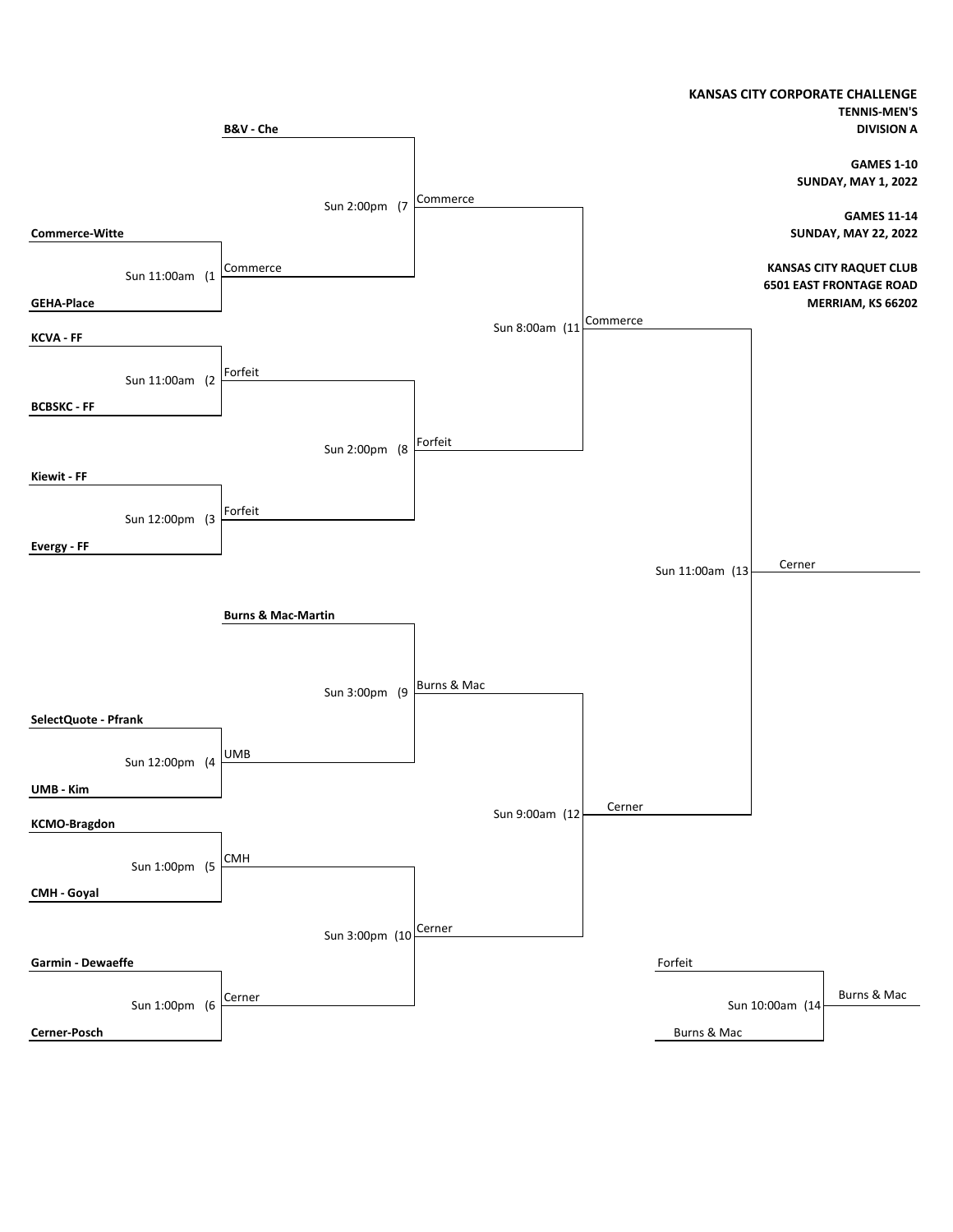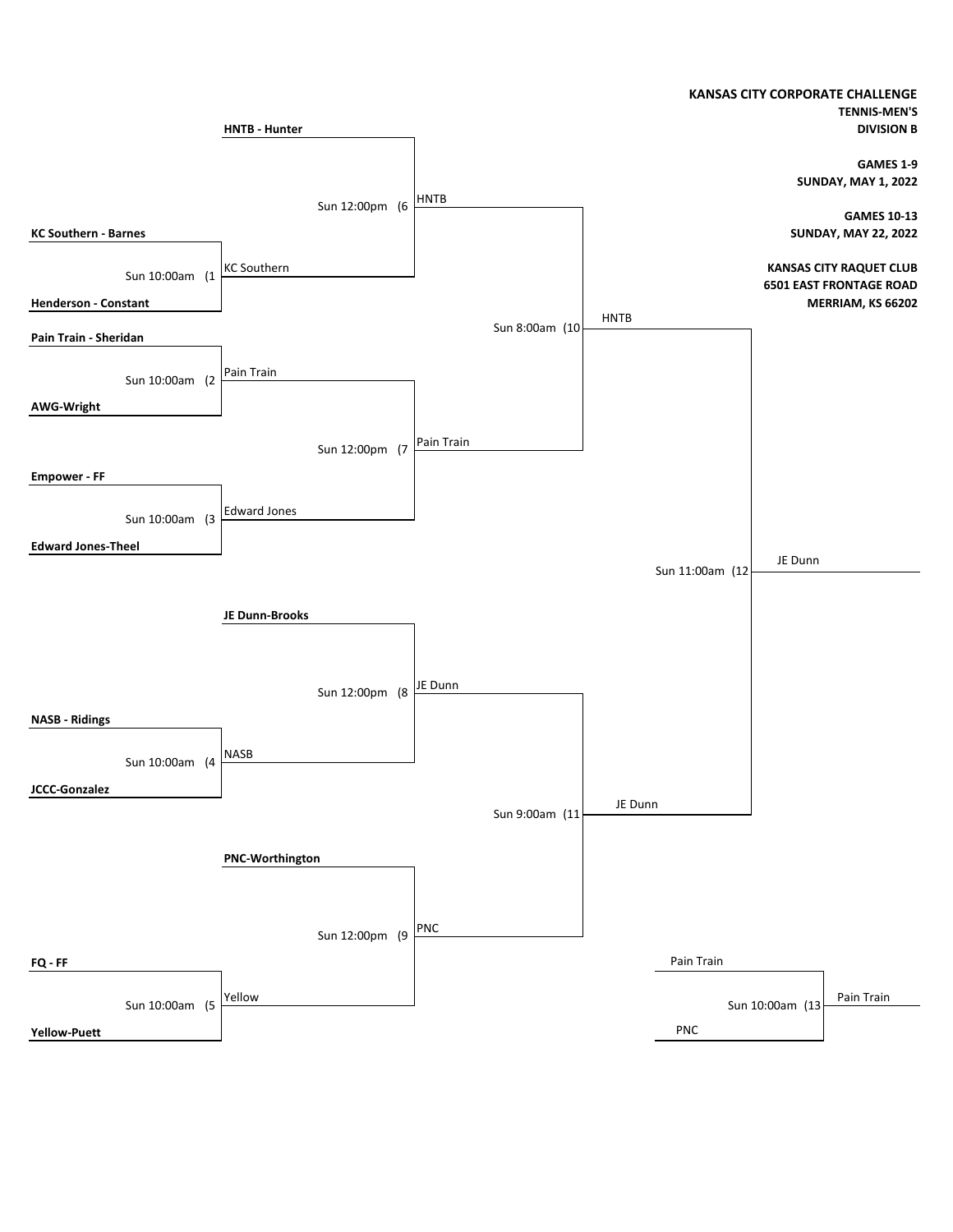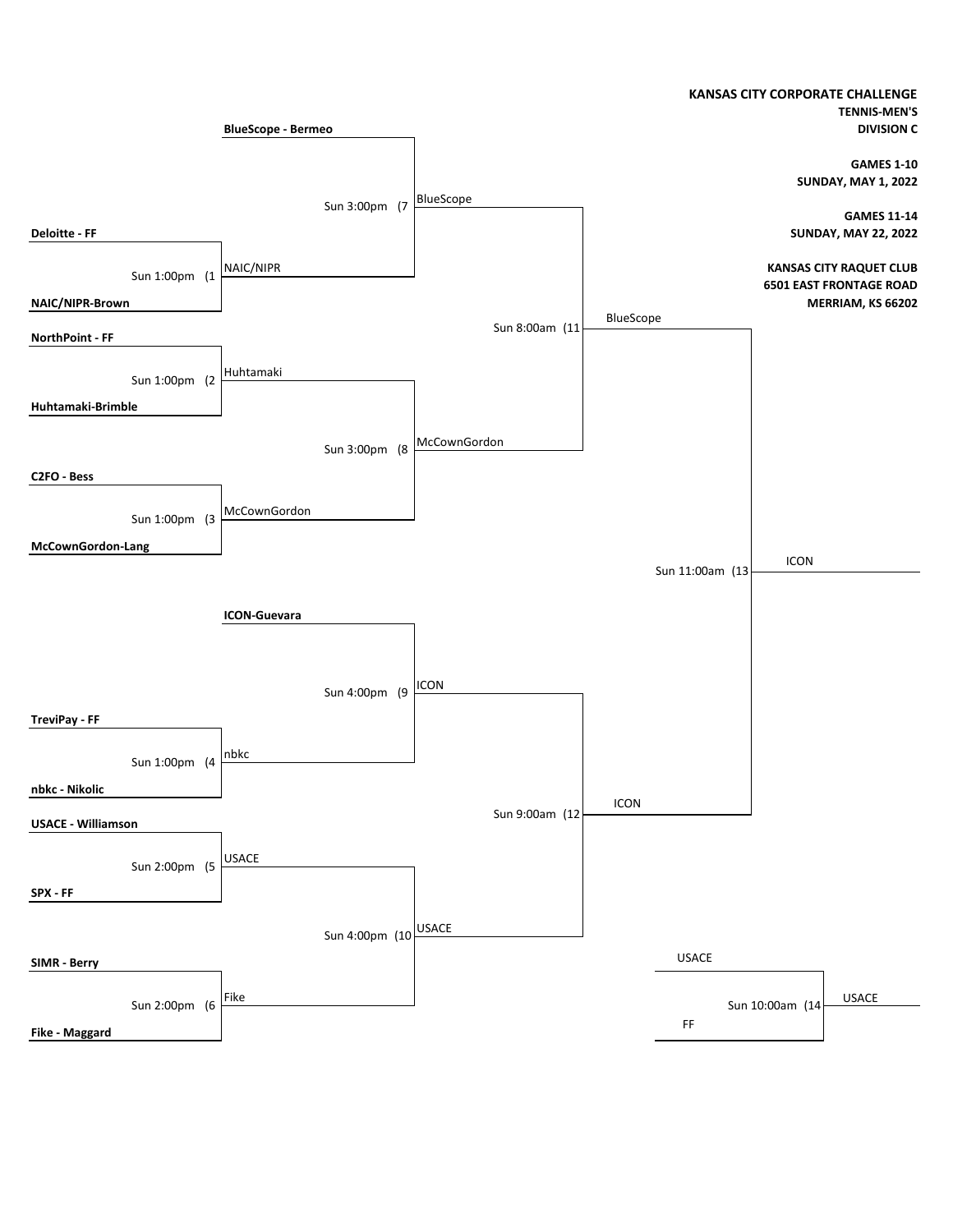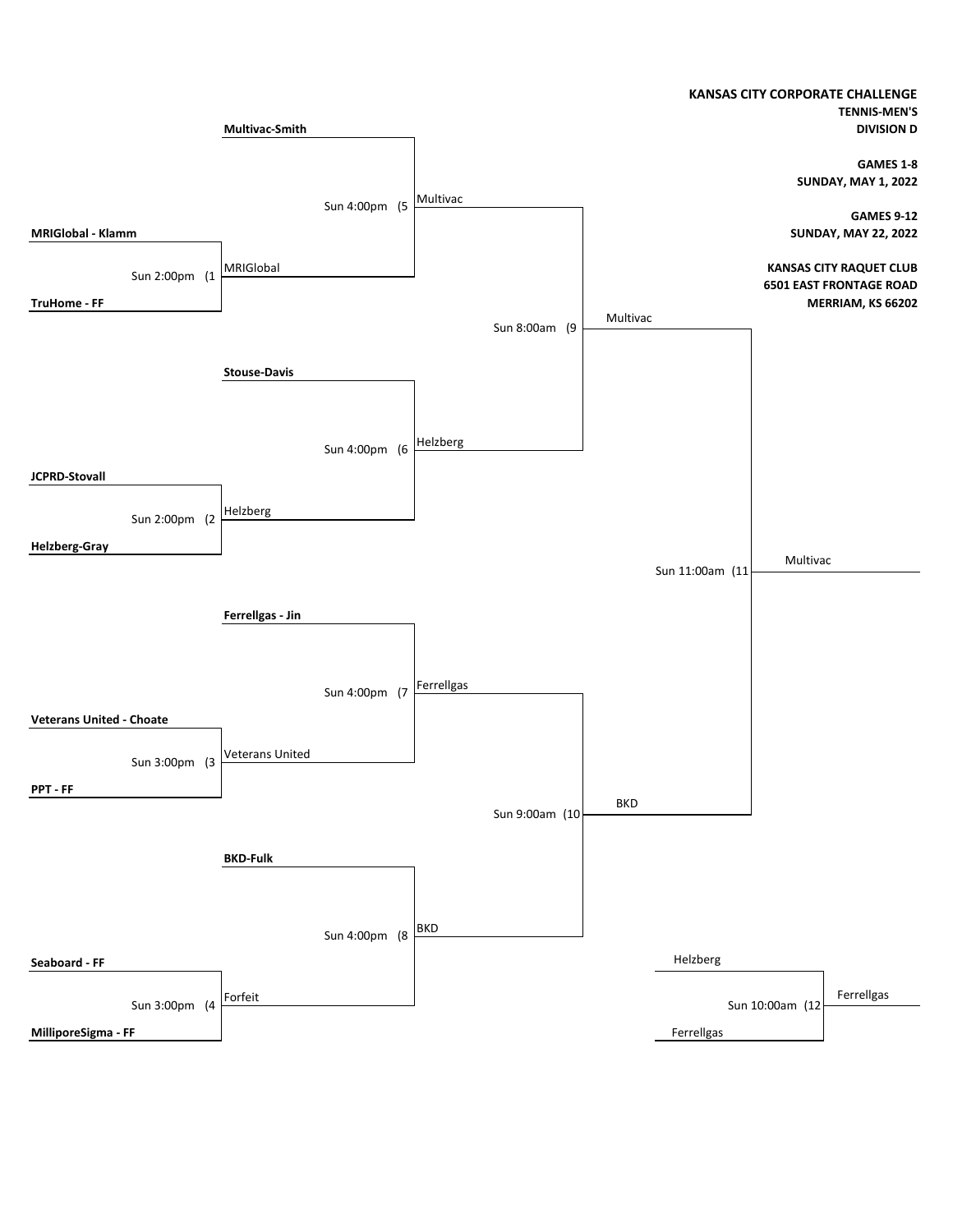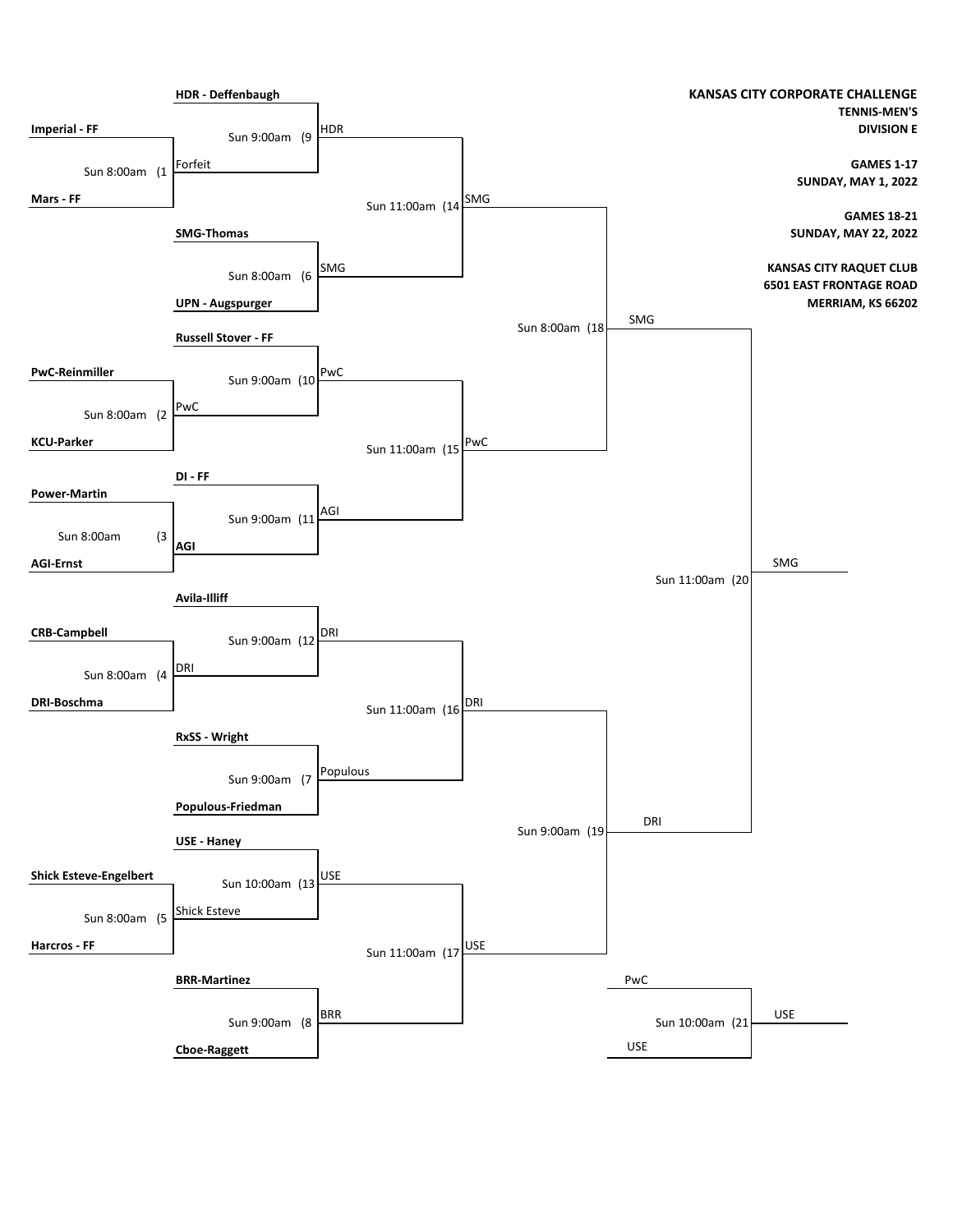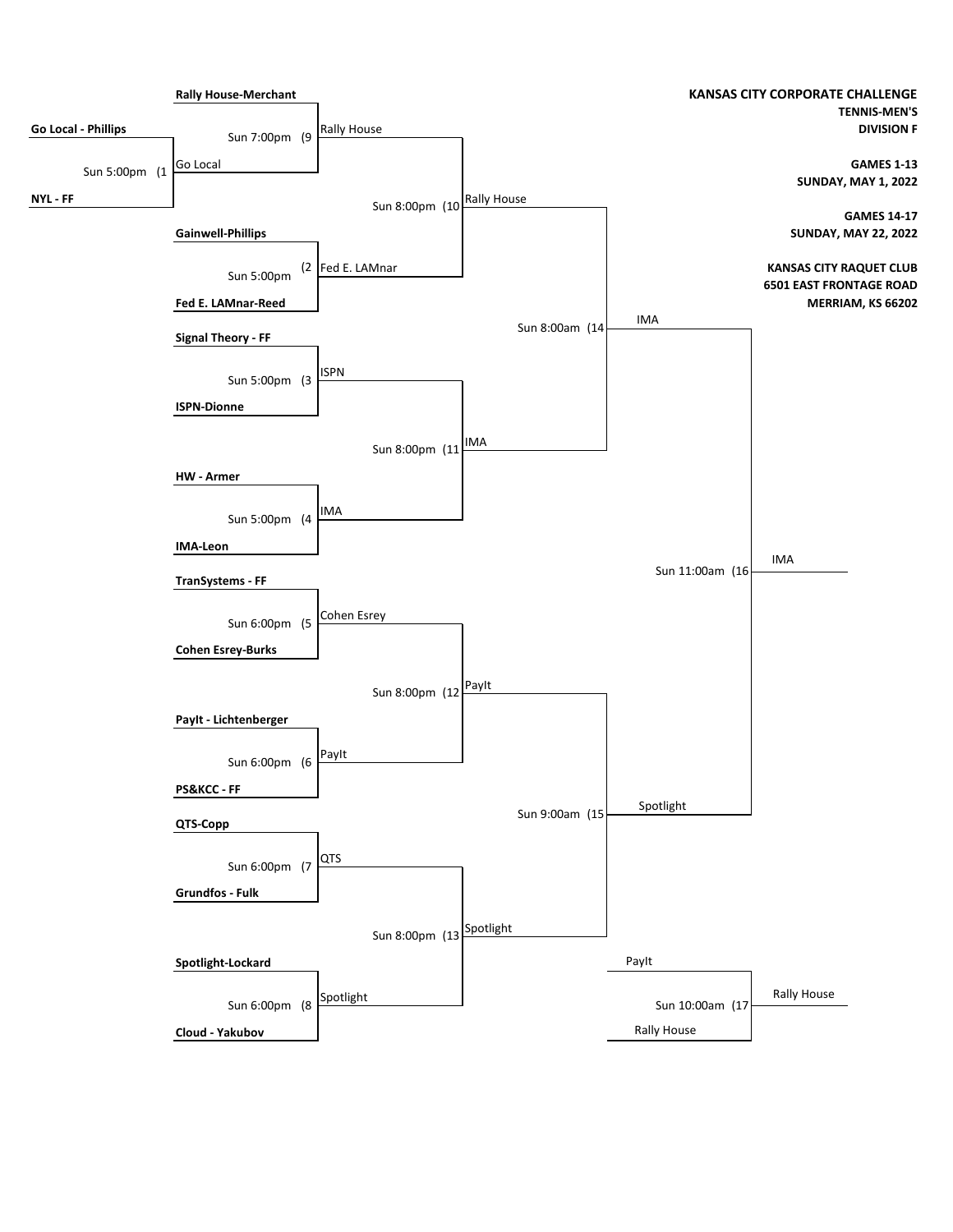